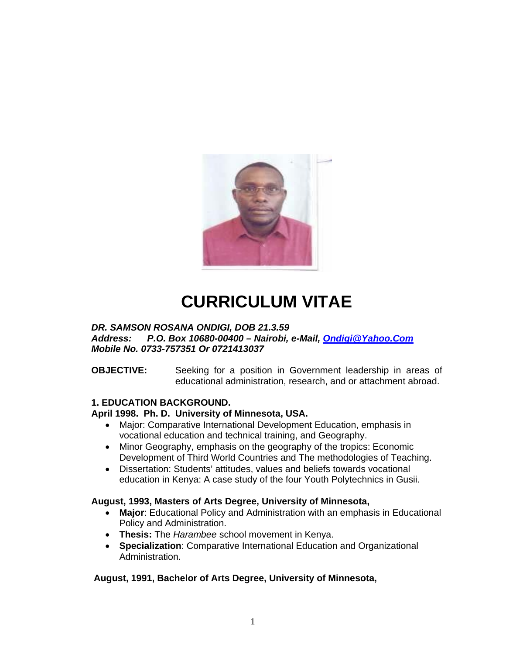

# **CURRICULUM VITAE**

# *DR. SAMSON ROSANA ONDIGI, DOB 21.3.59*

*Address: P.O. Box 10680-00400 – Nairobi, e-Mail, Ondigi@Yahoo.Com Mobile No. 0733-757351 Or 0721413037* 

# **OBJECTIVE:** Seeking for a position in Government leadership in areas of educational administration, research, and or attachment abroad.

# **1. EDUCATION BACKGROUND.**

# **April 1998. Ph. D. University of Minnesota, USA.**

- Major: Comparative International Development Education, emphasis in vocational education and technical training, and Geography.
- Minor Geography, emphasis on the geography of the tropics: Economic Development of Third World Countries and The methodologies of Teaching.
- Dissertation: Students' attitudes, values and beliefs towards vocational education in Kenya: A case study of the four Youth Polytechnics in Gusii.

# **August, 1993, Masters of Arts Degree, University of Minnesota,**

- **Major**: Educational Policy and Administration with an emphasis in Educational Policy and Administration.
- **Thesis:** The *Harambee* school movement in Kenya.
- **Specialization**: Comparative International Education and Organizational Administration.

# **August, 1991, Bachelor of Arts Degree, University of Minnesota,**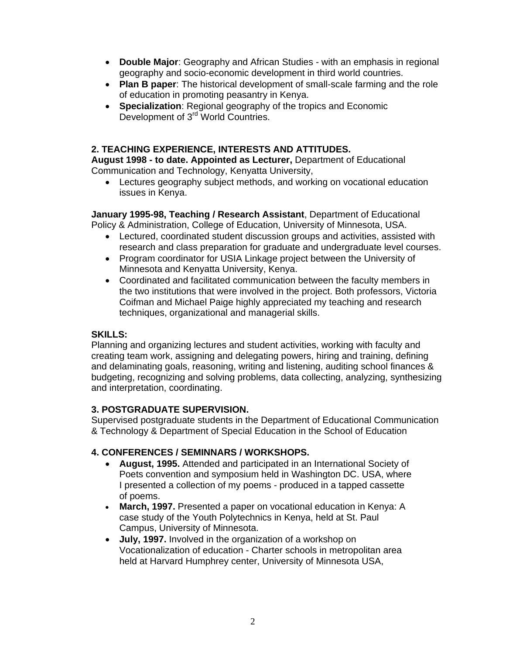- **Double Major**: Geography and African Studies with an emphasis in regional geography and socio-economic development in third world countries.
- **Plan B paper**: The historical development of small-scale farming and the role of education in promoting peasantry in Kenya.
- **Specialization**: Regional geography of the tropics and Economic Development of 3<sup>rd</sup> World Countries.

# **2. TEACHING EXPERIENCE, INTERESTS AND ATTITUDES.**

**August 1998 - to date. Appointed as Lecturer,** Department of Educational Communication and Technology, Kenyatta University,

• Lectures geography subject methods, and working on vocational education issues in Kenya.

**January 1995-98, Teaching / Research Assistant**, Department of Educational Policy & Administration, College of Education, University of Minnesota, USA.

- Lectured, coordinated student discussion groups and activities, assisted with research and class preparation for graduate and undergraduate level courses.
- Program coordinator for USIA Linkage project between the University of Minnesota and Kenyatta University, Kenya.
- Coordinated and facilitated communication between the faculty members in the two institutions that were involved in the project. Both professors, Victoria Coifman and Michael Paige highly appreciated my teaching and research techniques, organizational and managerial skills.

# **SKILLS:**

Planning and organizing lectures and student activities, working with faculty and creating team work, assigning and delegating powers, hiring and training, defining and delaminating goals, reasoning, writing and listening, auditing school finances & budgeting, recognizing and solving problems, data collecting, analyzing, synthesizing and interpretation, coordinating.

# **3. POSTGRADUATE SUPERVISION.**

Supervised postgraduate students in the Department of Educational Communication & Technology & Department of Special Education in the School of Education

# **4. CONFERENCES / SEMINNARS / WORKSHOPS.**

- **August, 1995.** Attended and participated in an International Society of Poets convention and symposium held in Washington DC. USA, where I presented a collection of my poems - produced in a tapped cassette of poems.
- **March, 1997.** Presented a paper on vocational education in Kenya: A case study of the Youth Polytechnics in Kenya, held at St. Paul Campus, University of Minnesota.
- **July, 1997.** Involved in the organization of a workshop on Vocationalization of education - Charter schools in metropolitan area held at Harvard Humphrey center, University of Minnesota USA,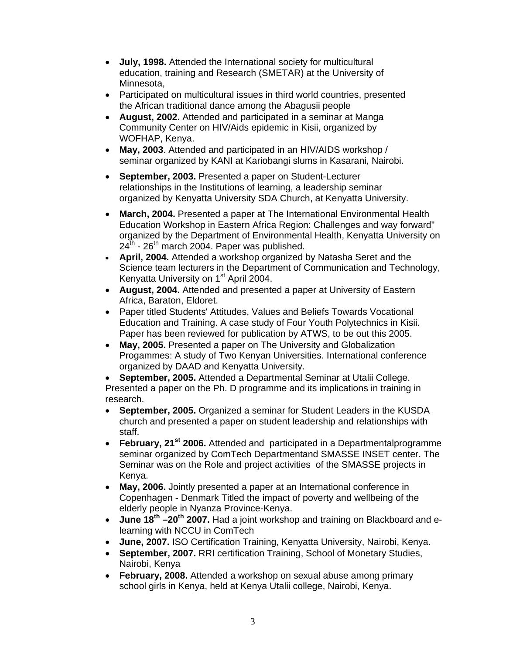- **July, 1998.** Attended the International society for multicultural education, training and Research (SMETAR) at the University of Minnesota,
- Participated on multicultural issues in third world countries, presented the African traditional dance among the Abagusii people
- **August, 2002.** Attended and participated in a seminar at Manga Community Center on HIV/Aids epidemic in Kisii, organized by WOFHAP, Kenya.
- **May, 2003**. Attended and participated in an HIV/AIDS workshop / seminar organized by KANI at Kariobangi slums in Kasarani, Nairobi.
- **September, 2003.** Presented a paper on Student-Lecturer relationships in the Institutions of learning, a leadership seminar organized by Kenyatta University SDA Church, at Kenyatta University.
- **March, 2004.** Presented a paper at The International Environmental Health Education Workshop in Eastern Africa Region: Challenges and way forward" organized by the Department of Environmental Health, Kenyatta University on  $24<sup>th</sup>$  - 26<sup>th</sup> march 2004. Paper was published.
- **April, 2004.** Attended a workshop organized by Natasha Seret and the Science team lecturers in the Department of Communication and Technology, Kenyatta University on 1<sup>st</sup> April 2004.
- **August, 2004.** Attended and presented a paper at University of Eastern Africa, Baraton, Eldoret.
- Paper titled Students' Attitudes, Values and Beliefs Towards Vocational Education and Training. A case study of Four Youth Polytechnics in Kisii. Paper has been reviewed for publication by ATWS, to be out this 2005.
- **May, 2005.** Presented a paper on The University and Globalization Progammes: A study of Two Kenyan Universities. International conference organized by DAAD and Kenyatta University.

• **September, 2005.** Attended a Departmental Seminar at Utalii College. Presented a paper on the Ph. D programme and its implications in training in research.

- **September, 2005.** Organized a seminar for Student Leaders in the KUSDA church and presented a paper on student leadership and relationships with staff.
- **February, 21st 2006.** Attended and participated in a Departmentalprogramme seminar organized by ComTech Departmentand SMASSE INSET center. The Seminar was on the Role and project activities of the SMASSE projects in Kenya.
- **May, 2006.** Jointly presented a paper at an International conference in Copenhagen - Denmark Titled the impact of poverty and wellbeing of the elderly people in Nyanza Province-Kenya.
- **June 18th –20th 2007.** Had a joint workshop and training on Blackboard and elearning with NCCU in ComTech
- **June, 2007.** ISO Certification Training, Kenyatta University, Nairobi, Kenya.
- **September, 2007.** RRI certification Training, School of Monetary Studies, Nairobi, Kenya
- **February, 2008.** Attended a workshop on sexual abuse among primary school girls in Kenya, held at Kenya Utalii college, Nairobi, Kenya.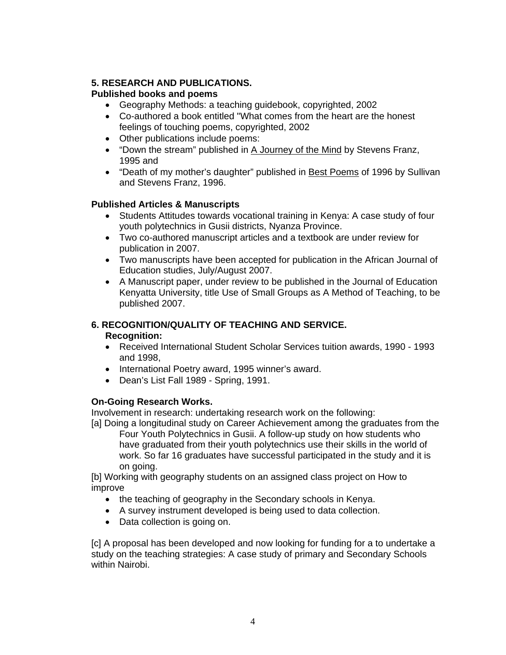# **5. RESEARCH AND PUBLICATIONS.**

# **Published books and poems**

- Geography Methods: a teaching guidebook, copyrighted, 2002
- Co-authored a book entitled "What comes from the heart are the honest feelings of touching poems, copyrighted, 2002
- Other publications include poems:
- "Down the stream" published in A Journey of the Mind by Stevens Franz, 1995 and
- "Death of my mother's daughter" published in Best Poems of 1996 by Sullivan and Stevens Franz, 1996.

# **Published Articles & Manuscripts**

- Students Attitudes towards vocational training in Kenya: A case study of four youth polytechnics in Gusii districts, Nyanza Province.
- Two co-authored manuscript articles and a textbook are under review for publication in 2007.
- Two manuscripts have been accepted for publication in the African Journal of Education studies, July/August 2007.
- A Manuscript paper, under review to be published in the Journal of Education Kenyatta University, title Use of Small Groups as A Method of Teaching, to be published 2007.

# **6. RECOGNITION/QUALITY OF TEACHING AND SERVICE.**

# **Recognition:**

- Received International Student Scholar Services tuition awards, 1990 1993 and 1998,
- International Poetry award, 1995 winner's award.
- Dean's List Fall 1989 Spring, 1991.

# **On-Going Research Works.**

Involvement in research: undertaking research work on the following:

[a] Doing a longitudinal study on Career Achievement among the graduates from the Four Youth Polytechnics in Gusii. A follow-up study on how students who have graduated from their youth polytechnics use their skills in the world of work. So far 16 graduates have successful participated in the study and it is on going.

[b] Working with geography students on an assigned class project on How to improve

- the teaching of geography in the Secondary schools in Kenya.
- A survey instrument developed is being used to data collection.
- Data collection is going on.

[c] A proposal has been developed and now looking for funding for a to undertake a study on the teaching strategies: A case study of primary and Secondary Schools within Nairobi.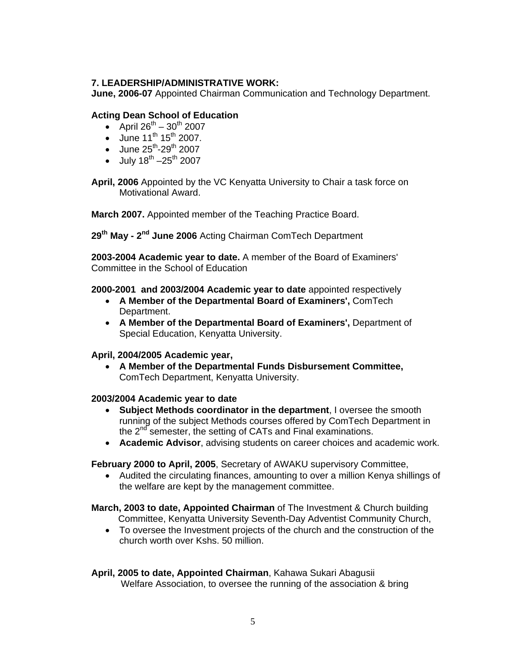# **7. LEADERSHIP/ADMINISTRATIVE WORK:**

**June, 2006-07** Appointed Chairman Communication and Technology Department.

# **Acting Dean School of Education**

- April  $26^{th} 30^{th}$  2007
- June  $11^{th} 15^{th} 2007$ .
- June  $25^{th}$ -29<sup>th</sup> 2007
- July  $18^{th} 25^{th}$  2007

**April, 2006** Appointed by the VC Kenyatta University to Chair a task force on Motivational Award.

**March 2007.** Appointed member of the Teaching Practice Board.

**29th May - 2nd June 2006** Acting Chairman ComTech Department

**2003-2004 Academic year to date.** A member of the Board of Examiners' Committee in the School of Education

# **2000-2001 and 2003/2004 Academic year to date** appointed respectively

- **A Member of the Departmental Board of Examiners',** ComTech Department.
- **A Member of the Departmental Board of Examiners',** Department of Special Education, Kenyatta University.

# **April, 2004/2005 Academic year,**

• **A Member of the Departmental Funds Disbursement Committee,** ComTech Department, Kenyatta University.

# **2003/2004 Academic year to date**

- **Subject Methods coordinator in the department**, I oversee the smooth running of the subject Methods courses offered by ComTech Department in the  $2<sup>nd</sup>$  semester, the setting of CATs and Final examinations.
- **Academic Advisor**, advising students on career choices and academic work.

**February 2000 to April, 2005**, Secretary of AWAKU supervisory Committee,

• Audited the circulating finances, amounting to over a million Kenya shillings of the welfare are kept by the management committee.

**March, 2003 to date, Appointed Chairman** of The Investment & Church building Committee, Kenyatta University Seventh-Day Adventist Community Church,

• To oversee the Investment projects of the church and the construction of the church worth over Kshs. 50 million.

**April, 2005 to date, Appointed Chairman**, Kahawa Sukari Abagusii Welfare Association, to oversee the running of the association & bring